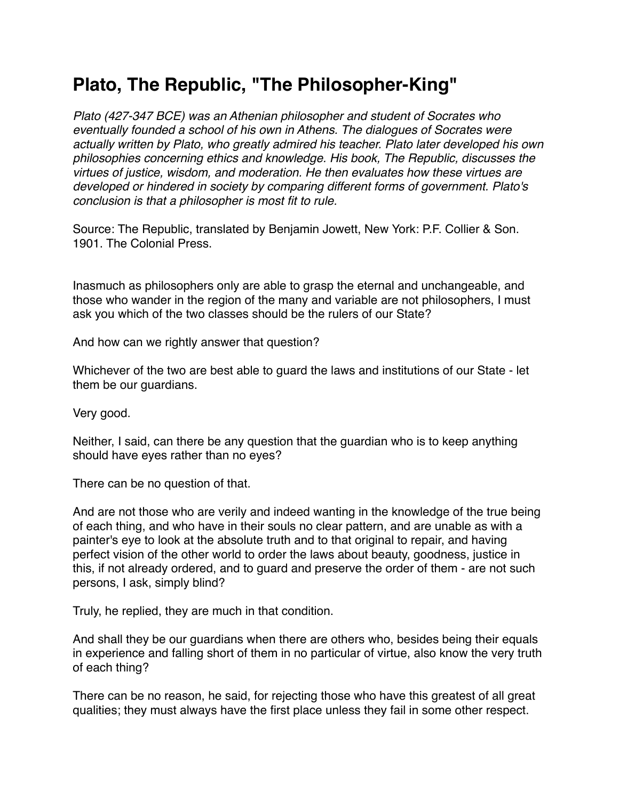## **Plato, The Republic, "The Philosopher-King"**

*Plato (427-347 BCE) was an Athenian philosopher and student of Socrates who eventually founded a school of his own in Athens. The dialogues of Socrates were actually written by Plato, who greatly admired his teacher. Plato later developed his own philosophies concerning ethics and knowledge. His book, The Republic, discusses the virtues of justice, wisdom, and moderation. He then evaluates how these virtues are developed or hindered in society by comparing different forms of government. Plato's conclusion is that a philosopher is most fit to rule.*

Source: The Republic, translated by Benjamin Jowett, New York: P.F. Collier & Son. 1901. The Colonial Press.

Inasmuch as philosophers only are able to grasp the eternal and unchangeable, and those who wander in the region of the many and variable are not philosophers, I must ask you which of the two classes should be the rulers of our State?

And how can we rightly answer that question?

Whichever of the two are best able to guard the laws and institutions of our State - let them be our guardians.

Very good.

Neither, I said, can there be any question that the guardian who is to keep anything should have eyes rather than no eyes?

There can be no question of that.

And are not those who are verily and indeed wanting in the knowledge of the true being of each thing, and who have in their souls no clear pattern, and are unable as with a painter's eye to look at the absolute truth and to that original to repair, and having perfect vision of the other world to order the laws about beauty, goodness, justice in this, if not already ordered, and to guard and preserve the order of them - are not such persons, I ask, simply blind?

Truly, he replied, they are much in that condition.

And shall they be our guardians when there are others who, besides being their equals in experience and falling short of them in no particular of virtue, also know the very truth of each thing?

There can be no reason, he said, for rejecting those who have this greatest of all great qualities; they must always have the first place unless they fail in some other respect.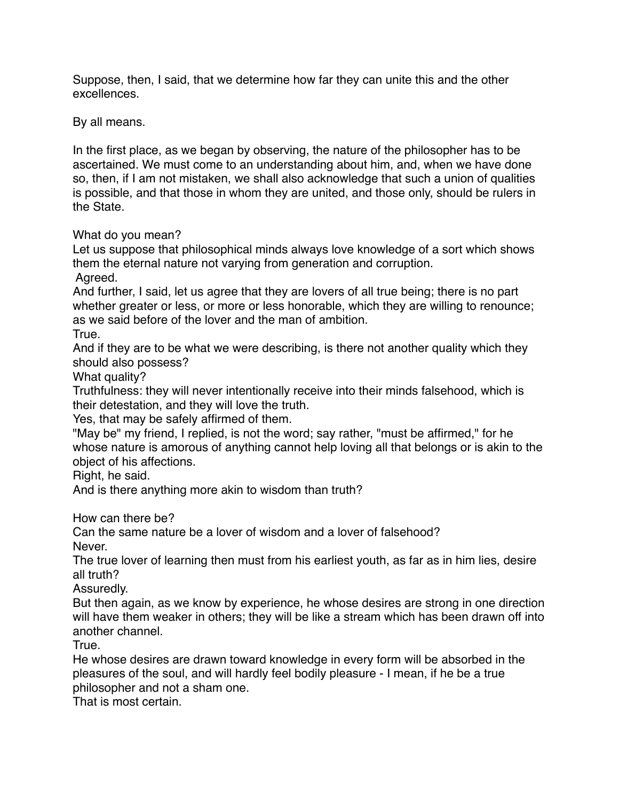Suppose, then, I said, that we determine how far they can unite this and the other excellences.

By all means.

In the first place, as we began by observing, the nature of the philosopher has to be ascertained. We must come to an understanding about him, and, when we have done so, then, if I am not mistaken, we shall also acknowledge that such a union of qualities is possible, and that those in whom they are united, and those only, should be rulers in the State.

## What do you mean?

Let us suppose that philosophical minds always love knowledge of a sort which shows them the eternal nature not varying from generation and corruption.

Agreed.

And further, I said, let us agree that they are lovers of all true being; there is no part whether greater or less, or more or less honorable, which they are willing to renounce; as we said before of the lover and the man of ambition.

True.

And if they are to be what we were describing, is there not another quality which they should also possess?

What quality?

Truthfulness: they will never intentionally receive into their minds falsehood, which is their detestation, and they will love the truth.

Yes, that may be safely affirmed of them.

"May be" my friend, I replied, is not the word; say rather, "must be affirmed," for he whose nature is amorous of anything cannot help loving all that belongs or is akin to the object of his affections.

Right, he said.

And is there anything more akin to wisdom than truth?

How can there be?

Can the same nature be a lover of wisdom and a lover of falsehood? Never.

The true lover of learning then must from his earliest youth, as far as in him lies, desire all truth?

Assuredly.

But then again, as we know by experience, he whose desires are strong in one direction will have them weaker in others; they will be like a stream which has been drawn off into another channel.

**True** 

He whose desires are drawn toward knowledge in every form will be absorbed in the pleasures of the soul, and will hardly feel bodily pleasure - I mean, if he be a true philosopher and not a sham one.

That is most certain.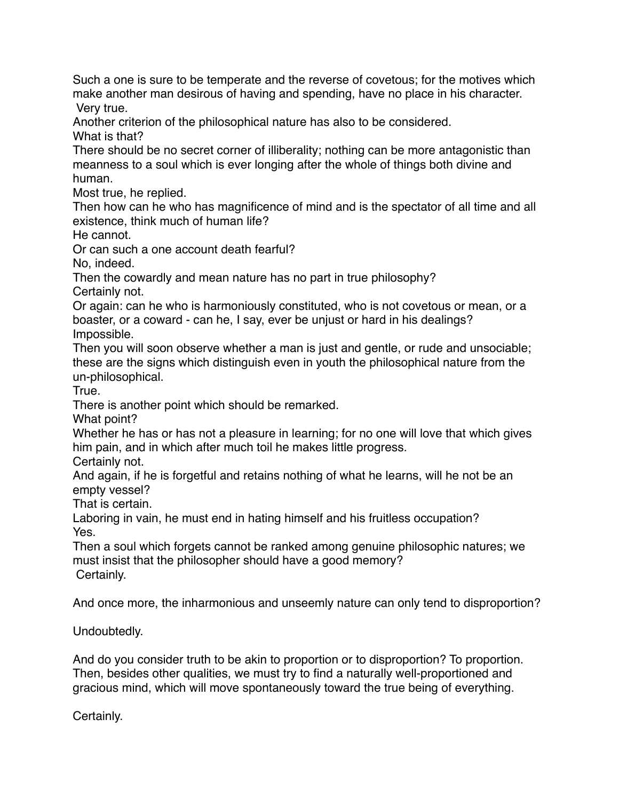Such a one is sure to be temperate and the reverse of covetous; for the motives which make another man desirous of having and spending, have no place in his character. Very true.

Another criterion of the philosophical nature has also to be considered. What is that?

There should be no secret corner of illiberality; nothing can be more antagonistic than meanness to a soul which is ever longing after the whole of things both divine and human.

Most true, he replied.

Then how can he who has magnificence of mind and is the spectator of all time and all existence, think much of human life?

He cannot.

Or can such a one account death fearful?

No, indeed.

Then the cowardly and mean nature has no part in true philosophy? Certainly not.

Or again: can he who is harmoniously constituted, who is not covetous or mean, or a boaster, or a coward - can he, I say, ever be unjust or hard in his dealings? Impossible.

Then you will soon observe whether a man is just and gentle, or rude and unsociable; these are the signs which distinguish even in youth the philosophical nature from the un-philosophical.

**True** 

There is another point which should be remarked.

What point?

Whether he has or has not a pleasure in learning; for no one will love that which gives him pain, and in which after much toil he makes little progress.

Certainly not.

And again, if he is forgetful and retains nothing of what he learns, will he not be an empty vessel?

That is certain.

Laboring in vain, he must end in hating himself and his fruitless occupation? Yes.

Then a soul which forgets cannot be ranked among genuine philosophic natures; we must insist that the philosopher should have a good memory? Certainly.

And once more, the inharmonious and unseemly nature can only tend to disproportion?

Undoubtedly.

And do you consider truth to be akin to proportion or to disproportion? To proportion. Then, besides other qualities, we must try to find a naturally well-proportioned and gracious mind, which will move spontaneously toward the true being of everything.

Certainly.